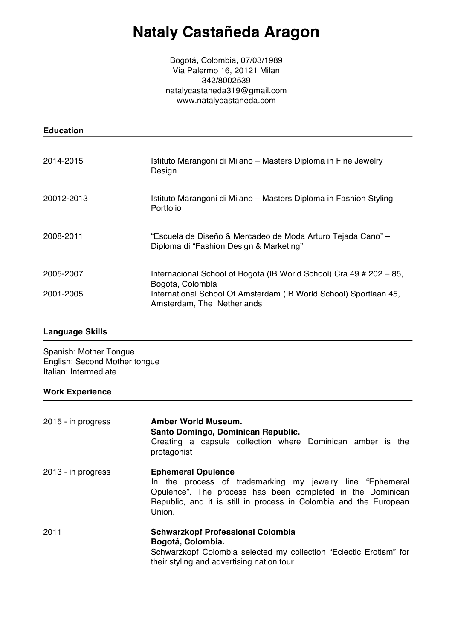# **Nataly Castañeda Aragon**

Bogotá, Colombia, 07/03/1989 Via Palermo 16, 20121 Milan 342/8002539 natalycastaneda319@gmail.com www.natalycastaneda.com

| <b>Education</b>       |                                                                                                                                                                                            |
|------------------------|--------------------------------------------------------------------------------------------------------------------------------------------------------------------------------------------|
| 2014-2015              | Istituto Marangoni di Milano – Masters Diploma in Fine Jewelry<br>Design                                                                                                                   |
| 20012-2013             | Istituto Marangoni di Milano – Masters Diploma in Fashion Styling<br><b>Portfolio</b>                                                                                                      |
| 2008-2011              | "Escuela de Diseño & Mercadeo de Moda Arturo Tejada Cano" –<br>Diploma di "Fashion Design & Marketing"                                                                                     |
| 2005-2007<br>2001-2005 | Internacional School of Bogota (IB World School) Cra 49 # 202 – 85,<br>Bogota, Colombia<br>International School Of Amsterdam (IB World School) Sportlaan 45,<br>Amsterdam, The Netherlands |

## **Language Skills**

Spanish: Mother Tongue English: Second Mother tongue Italian: Intermediate

# **Work Experience**

| 2015 - in progress | <b>Amber World Museum.</b><br>Santo Domingo, Dominican Republic.<br>Creating a capsule collection where Dominican amber is the<br>protagonist                                                                                       |
|--------------------|-------------------------------------------------------------------------------------------------------------------------------------------------------------------------------------------------------------------------------------|
| 2013 - in progress | <b>Ephemeral Opulence</b><br>In the process of trademarking my jewelry line "Ephemeral<br>Opulence". The process has been completed in the Dominican<br>Republic, and it is still in process in Colombia and the European<br>Union. |
| 2011               | <b>Schwarzkopf Professional Colombia</b><br>Bogotá, Colombia.<br>Schwarzkopf Colombia selected my collection "Eclectic Erotism" for<br>their styling and advertising nation tour                                                    |